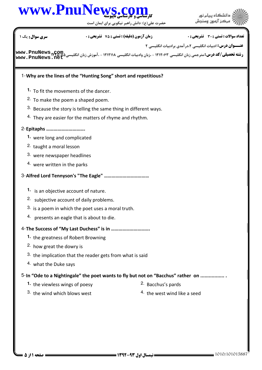

حضرت علي(ع): دانش راهبر نيكويي براي ايمان است



# نعداد سوالات : تستي : 30 - تشريحي : . زمان آزمون (دقيقه) : تستي : 75 - تشريحي : 0 - رئيس س

**عنــــوان درس:** ادبیات انگلیسی ۰۲در آمدی برادبیات انگلیسی ۲

ر**شته تحصیلی/کد درس:** مترجمی زبان انگلیسی ۱۲۱۲۰۶۳ - ،زبان وادبیات انگلیسی ۱۲۱۲۱۱۸ - ،آموزش زبان انگلیسی۵۰۷۵ میرو<br>ر**شته تحصیلی/کد درس:** مترجمی زبان انگلیسی ۱۲۱۲۰۶۳ - ،زبان وادبیات انگلیسی ۱۲۱۲۱۱۸ - ،آموزش زبان انگلیسی۵۰۷۵۵ **[www.PnuNews.net](http://pnunews.net)**

#### Why are the lines of the "Hunting Song" short and repetitious? 1-

- To fit the movements of the dancer. **1.**
- 2. To make the poem a shaped poem.
- $3.$  Because the story is telling the same thing in different ways.
- $4.$  They are easier for the matters of rhyme and rhythm.

# Epitaphs …………………………. 2-

- were long and complicated **1.**
- 2. taught a moral lesson
- 3. were newspaper headlines
- $4.$  were written in the parks

### Alfred Lord Tennyson's "The Eagle" ……………………………… 3-

- 1. is an objective account of nature.
- 2. subjective account of daily problems.
- $3.$  is a poem in which the poet uses a moral truth.
- $4.$  presents an eagle that is about to die.

## The Success of "My Last Duchess" is in …………………………. 4-

- 1. the greatness of Robert Browning
- <sup>2</sup> how great the dowry is
- $3.$  the implication that the reader gets from what is said
- 4. what the Duke says

#### 5-In "Ode to a Nightingale" the poet wants to fly but not on "Bacchus" rather on ..................

- 1. the viewless wings of poesy **Bacchus's pards 1.** the viewless wings of poesy
	-
- <sup>3.</sup> the wind which blows west  $\frac{4}{1}$  the west wind like a seed
	-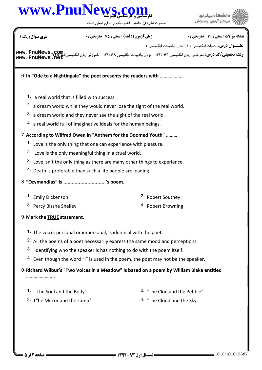

حضرت علي(ع): دانش راهبر نيكويي براي ايمان است



نعداد سوالات : تستي : 30 - تشريحي : . زمان آزمون (دقيقه) : تستي : 75 - تشريحي : 0 - رئيس س

**عنــــوان درس:** ادبیات انگلیسی ۰۲در آمدی برادبیات انگلیسی ۲

ر**شته تحصیلی/کد درس:** مترجمی زبان انگلیسی ۱۲۱۲۰۶۳ - ،زبان وادبیات انگلیسی ۱۲۱۲۱۱۸ - ،آموزش زبان انگلیسی۵۰۷۵ میرو<br>ر**شته تحصیلی/کد درس:** مترجمی زبان انگلیسی ۱۲۱۲۰۶۳ - ،زبان وادبیات انگلیسی ۱۲۱۲۱۱۸ - ،آموزش زبان انگلیسی۵۰۷۵۵ **[www.PnuNews.net](http://pnunews.net)**

6-In "Ode to a Nightingale" the poet presents the readers with .................

- a real world that is filled with success **1.**
- $2.$  a dream world while they would never lose the sight of the real world.
- $3.$  a dream world and they never see the sight of the real world.
- $4.$  a real world full of imaginative ideals for the human beings.

### 7-According to Wilfred Owen in "Anthem for the Doomed Youth" .........

- 1. Love is the only thing that one can experience with pleasure.
- 2. Love is the only meaningful thing in a cruel world.
- $3.$  Love isn't the only thing as there are many other things to experience.
- $4.$  Death is preferable than such a life people are leading.

## 8-"Ozymandias" is ................................'s poem.

- **1.** Emily Dickenson
- Percy Bisshe Shelley Robert Browning 3. 4.
- 2. Robert Southey
	-

## 9- Mark the **TRUE** statement.

- 1. The voice, personal or impersonal, is identical with the poet.
- <sup>2.</sup> All the poems of a poet necessarily express the same mood and perceptions.
- $3.$  Identifying who the speaker is has nothing to do with the poem itself.
- $4.$  Even though the word "I" is used in the poem, the poet may not be the speaker.

#### 10-Richard Wilbur's "Two Voices in a Meadow" is based on a poem by William Blake entitled …………………

**1.** "The Soul and the Body"

 $2.$  "The Clod and the Pebble"

3. T"he Mirror and the Lamp"

4. "The Cloud and the Sky"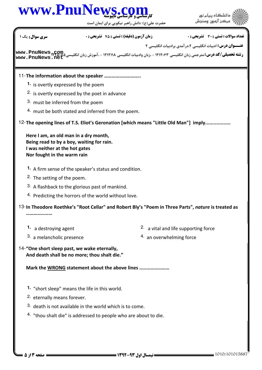

حضرت علي(ع): دانش راهبر نيكويي براي ايمان است



| سری سوال : یک ۱                                                                                                                                     | <b>زمان آزمون (دقیقه) : تستی : 75 ٪ تشریحی : 0</b> | <b>تعداد سوالات : تستي : 30 ٪ تشريحي : 0</b>                                                                                                                                                                          |
|-----------------------------------------------------------------------------------------------------------------------------------------------------|----------------------------------------------------|-----------------------------------------------------------------------------------------------------------------------------------------------------------------------------------------------------------------------|
|                                                                                                                                                     |                                                    | <b>عنـــوان درس:</b> ادبیات انگلیسی ۲،درآمدی برادبیات انگلیسی ۲<br><b>رشته تحصیلی/کد درس:</b> مترجمی زبان انگلیسی ۱۲۱۲۰۶۳ - ،زبان وادبیات انگلیسی ۱۲۱۲۱۱۸ - ،آموزش زبان انگلیسی% www . PnuNews<br>www . PnuNews . net |
|                                                                                                                                                     |                                                    |                                                                                                                                                                                                                       |
| 11-The information about the speaker                                                                                                                |                                                    |                                                                                                                                                                                                                       |
| 1. is overtly expressed by the poem                                                                                                                 |                                                    |                                                                                                                                                                                                                       |
| <sup>2.</sup> is overtly expressed by the poet in advance                                                                                           |                                                    |                                                                                                                                                                                                                       |
| 3. must be inferred from the poem                                                                                                                   |                                                    |                                                                                                                                                                                                                       |
| 4. must be both stated and inferred from the poem.                                                                                                  |                                                    |                                                                                                                                                                                                                       |
|                                                                                                                                                     |                                                    | 12- The opening lines of T.S. Eliot's Geronation [which means "Little Old Man"] imply                                                                                                                                 |
| Here I am, an old man in a dry month,<br>Being read to by a boy, waiting for rain.<br>I was neither at the hot gates<br>Nor fought in the warm rain |                                                    |                                                                                                                                                                                                                       |
| 1. A firm sense of the speaker's status and condition.                                                                                              |                                                    |                                                                                                                                                                                                                       |
| <sup>2</sup> . The setting of the poem.                                                                                                             |                                                    |                                                                                                                                                                                                                       |
| 3. A flashback to the glorious past of mankind.                                                                                                     |                                                    |                                                                                                                                                                                                                       |
| <sup>4.</sup> Predicting the horrors of the world without love.                                                                                     |                                                    |                                                                                                                                                                                                                       |
|                                                                                                                                                     |                                                    | 13-In Theodore Roethke's "Root Cellar" and Robert Bly's "Poem in Three Parts", nature is treated as                                                                                                                   |
| 1. a destroying agent                                                                                                                               |                                                    | <sup>2.</sup> a vital and life supporting force                                                                                                                                                                       |
| 3. a melancholic presence                                                                                                                           |                                                    | 4. an overwhelming force                                                                                                                                                                                              |
| 14-"One short sleep past, we wake eternally,<br>And death shall be no more; thou shalt die."                                                        |                                                    |                                                                                                                                                                                                                       |
| Mark the WRONG statement about the above lines                                                                                                      |                                                    |                                                                                                                                                                                                                       |
| 1. "short sleep" means the life in this world.                                                                                                      |                                                    |                                                                                                                                                                                                                       |
| <sup>2</sup> eternally means forever.                                                                                                               |                                                    |                                                                                                                                                                                                                       |
| 3. death is not available in the world which is to come.                                                                                            |                                                    |                                                                                                                                                                                                                       |
| 4. "thou shalt die" is addressed to people who are about to die.                                                                                    |                                                    |                                                                                                                                                                                                                       |
|                                                                                                                                                     |                                                    |                                                                                                                                                                                                                       |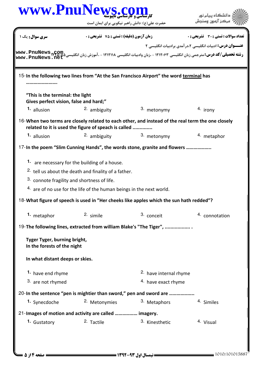|                                                                            | حضرت علی(ع): دانش راهبر نیکویی برای ایمان است                                                                                                             |                                   | مركز آزمون وسا                                            |
|----------------------------------------------------------------------------|-----------------------------------------------------------------------------------------------------------------------------------------------------------|-----------------------------------|-----------------------------------------------------------|
| <b>سری سوال :</b> یک ۱                                                     | <b>زمان آزمون (دقیقه) : تستی : 75 ٪ تشریحی : 0</b>                                                                                                        |                                   | تعداد سوالات : تستي : 30 ٪ تشريحي : 0                     |
|                                                                            |                                                                                                                                                           |                                   | عنــوان درس: ادبیات انگلیسی ۰،۲در آمدی برادبیات انگلیسی ۲ |
| www.PnuNews.ne                                                             |                                                                                                                                                           |                                   |                                                           |
|                                                                            | 15-In the following two lines from "At the San Francisco Airport" the word terminal has                                                                   |                                   |                                                           |
| "This is the terminal: the light<br>Gives perfect vision, false and hard;" |                                                                                                                                                           |                                   |                                                           |
| 1. allusion                                                                | 2. ambiguity                                                                                                                                              | 3. metonymy                       | 4. irony                                                  |
|                                                                            | 16-When two terms are closely related to each other, and instead of the real term the one closely<br>related to it is used the figure of speach is called |                                   |                                                           |
| 1. allusion                                                                | 2. ambiguity                                                                                                                                              | 3. metonymy                       | 4. metaphor                                               |
|                                                                            | 17-In the poem "Slim Cunning Hands", the words stone, granite and flowers                                                                                 |                                   |                                                           |
|                                                                            |                                                                                                                                                           |                                   |                                                           |
|                                                                            | 1. are necessary for the building of a house.                                                                                                             |                                   |                                                           |
|                                                                            | <sup>2.</sup> tell us about the death and finality of a father.                                                                                           |                                   |                                                           |
|                                                                            | 3. connote fragility and shortness of life.                                                                                                               |                                   |                                                           |
|                                                                            |                                                                                                                                                           |                                   |                                                           |
|                                                                            | 4. are of no use for the life of the human beings in the next world.                                                                                      |                                   |                                                           |
|                                                                            | 18-What figure of speech is used in "Her cheeks like apples which the sun hath redded"?                                                                   |                                   |                                                           |
| 1. metaphor                                                                | 2. simile                                                                                                                                                 | 3. conceit                        | 4. connotation                                            |
|                                                                            | 19-The following lines, extracted from william Blake's "The Tiger",                                                                                       |                                   |                                                           |
| Tyger Tyger, burning bright,<br>In the forests of the night                |                                                                                                                                                           |                                   |                                                           |
| In what distant deeps or skies.                                            |                                                                                                                                                           |                                   |                                                           |
| 1. have end rhyme                                                          |                                                                                                                                                           | <sup>2.</sup> have internal rhyme |                                                           |
| 3. are not rhymed                                                          |                                                                                                                                                           | 4. have exact rhyme               |                                                           |
|                                                                            | 20-In the sentence "pen is mightier than sword," pen and sword are                                                                                        |                                   |                                                           |
| 1. Synecdoche                                                              | 2. Metonymies                                                                                                                                             | 3. Metaphors                      | 4. Similes                                                |
|                                                                            | 21-Images of motion and activity are called  imagery.                                                                                                     |                                   |                                                           |